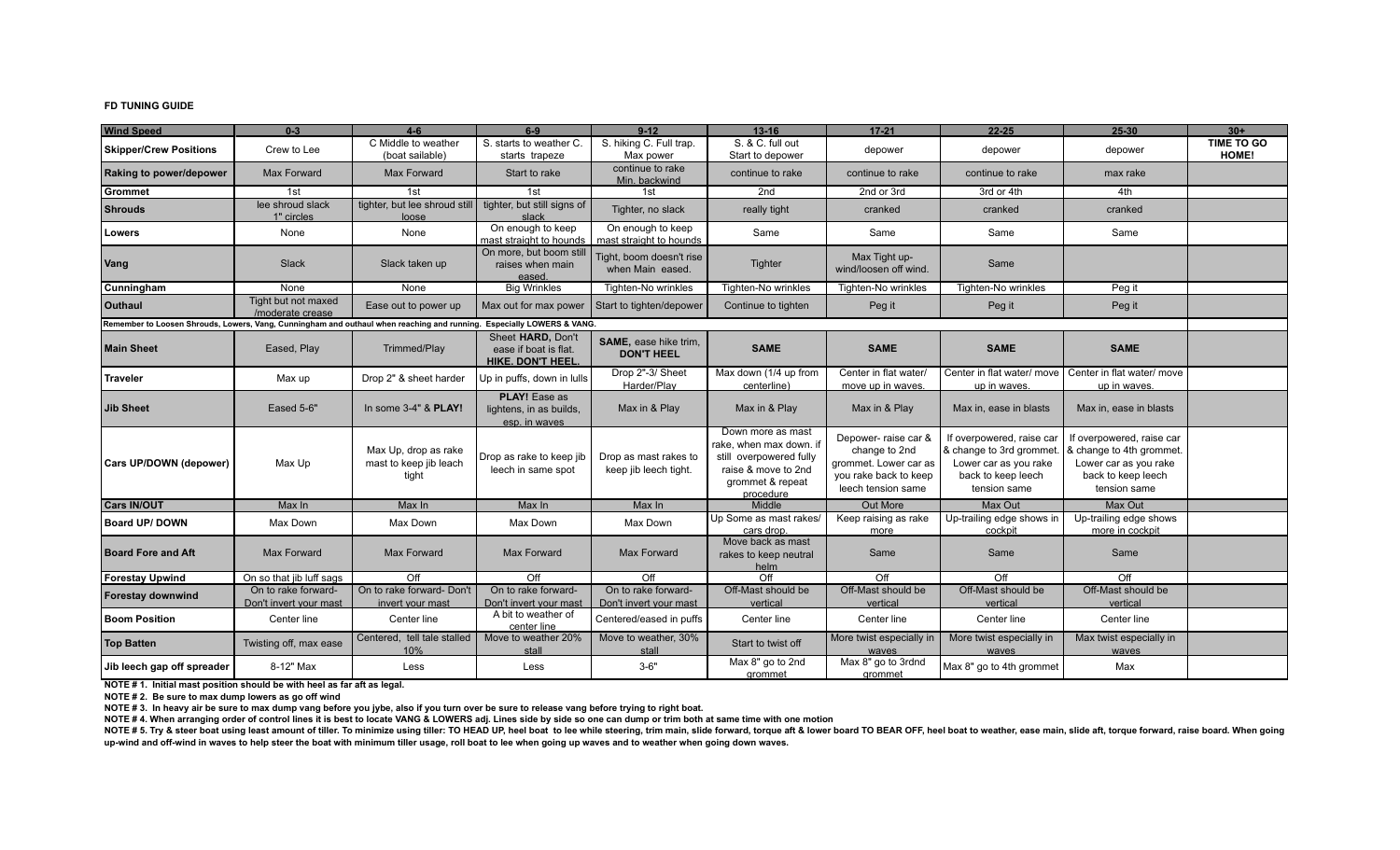## **FD TUNING GUIDE**

| <b>Wind Speed</b>                                                                                                     | $0 - 3$                                       | $4 - 6$                                                 | $6-9$                                                                 | $9 - 12$                                       | $13 - 16$                                                                                                                       | $17 - 21$                                                                                                     | $22 - 25$                                                                                                            | $25 - 30$                                                                                                           | $30+$                      |
|-----------------------------------------------------------------------------------------------------------------------|-----------------------------------------------|---------------------------------------------------------|-----------------------------------------------------------------------|------------------------------------------------|---------------------------------------------------------------------------------------------------------------------------------|---------------------------------------------------------------------------------------------------------------|----------------------------------------------------------------------------------------------------------------------|---------------------------------------------------------------------------------------------------------------------|----------------------------|
| <b>Skipper/Crew Positions</b>                                                                                         | Crew to Lee                                   | C Middle to weather<br>(boat sailable)                  | S. starts to weather C.<br>starts trapeze                             | S. hiking C. Full trap.<br>Max power           | S. & C. full out<br>Start to depower                                                                                            | depower                                                                                                       | depower                                                                                                              | depower                                                                                                             | <b>TIME TO GO</b><br>HOME! |
| Raking to power/depower                                                                                               | <b>Max Forward</b>                            | Max Forward                                             | Start to rake                                                         | continue to rake<br>Min. backwind              | continue to rake                                                                                                                | continue to rake                                                                                              | continue to rake                                                                                                     | max rake                                                                                                            |                            |
| Grommet                                                                                                               | 1st                                           | 1st                                                     | 1st                                                                   | 1st                                            | 2nd                                                                                                                             | 2nd or 3rd                                                                                                    | 3rd or 4th                                                                                                           | 4th                                                                                                                 |                            |
| <b>Shrouds</b>                                                                                                        | lee shroud slack<br>1" circles                | tighter, but lee shroud still<br>loose                  | tighter, but still signs of<br>slack                                  | Tighter, no slack                              | really tight                                                                                                                    | cranked                                                                                                       | cranked                                                                                                              | cranked                                                                                                             |                            |
| Lowers                                                                                                                | None                                          | None                                                    | On enough to keep<br>mast straight to hounds                          | On enough to keep<br>mast straight to hounds   | Same                                                                                                                            | Same                                                                                                          | Same                                                                                                                 | Same                                                                                                                |                            |
| <b>Vang</b>                                                                                                           | Slack                                         | Slack taken up                                          | On more, but boom stil<br>raises when main<br>eased.                  | Tight, boom doesn't rise<br>when Main eased.   | Tighter                                                                                                                         | Max Tight up-<br>wind/loosen off wind.                                                                        | Same                                                                                                                 |                                                                                                                     |                            |
| Cunningham                                                                                                            | None                                          | None                                                    | <b>Big Wrinkles</b>                                                   | Tighten-No wrinkles                            | Tighten-No wrinkles                                                                                                             | Tighten-No wrinkles                                                                                           | Tighten-No wrinkles                                                                                                  | Peg it                                                                                                              |                            |
| <b>Outhaul</b>                                                                                                        | Tight but not maxed<br>/moderate crease       | Ease out to power up                                    | Max out for max power                                                 | Start to tighten/depower                       | Continue to tighten                                                                                                             | Peg it                                                                                                        | Peg it                                                                                                               | Peg it                                                                                                              |                            |
| Remember to Loosen Shrouds, Lowers, Vang, Cunningham and outhaul when reaching and running. Especially LOWERS & VANG. |                                               |                                                         |                                                                       |                                                |                                                                                                                                 |                                                                                                               |                                                                                                                      |                                                                                                                     |                            |
| <b>Main Sheet</b>                                                                                                     | Eased, Play                                   | Trimmed/Play                                            | Sheet HARD, Don't<br>ease if boat is flat.<br><b>HIKE. DON'T HEEL</b> | SAME, ease hike trim,<br><b>DON'T HEEL</b>     | <b>SAME</b>                                                                                                                     | <b>SAME</b>                                                                                                   | <b>SAME</b>                                                                                                          | <b>SAME</b>                                                                                                         |                            |
| Traveler                                                                                                              | Max up                                        | Drop 2" & sheet harder                                  | Up in puffs, down in lulls                                            | Drop 2"-3/ Sheet<br>Harder/Play                | Max down (1/4 up from<br>centerline)                                                                                            | Center in flat water/<br>move up in waves.                                                                    | up in waves.                                                                                                         | Center in flat water/ move   Center in flat water/ move<br>up in waves.                                             |                            |
| Jib Sheet                                                                                                             | Eased 5-6"                                    | In some 3-4" & PLAY!                                    | <b>PLAY!</b> Ease as<br>lightens, in as builds,<br>esp. in waves      | Max in & Play                                  | Max in & Play                                                                                                                   | Max in & Play                                                                                                 | Max in, ease in blasts                                                                                               | Max in, ease in blasts                                                                                              |                            |
| Cars UP/DOWN (depower)                                                                                                | Max Up                                        | Max Up, drop as rake<br>mast to keep jib leach<br>tight | Drop as rake to keep jib<br>leech in same spot                        | Drop as mast rakes to<br>keep jib leech tight. | Down more as mast<br>rake, when max down. if<br>still overpowered fully<br>raise & move to 2nd<br>grommet & repeat<br>procedure | Depower- raise car &<br>change to 2nd<br>grommet. Lower car as<br>you rake back to keep<br>leech tension same | If overpowered, raise car<br>& change to 3rd grommet.<br>Lower car as you rake<br>back to keep leech<br>tension same | If overpowered, raise car<br>& change to 4th grommet<br>Lower car as you rake<br>back to keep leech<br>tension same |                            |
| <b>Cars IN/OUT</b>                                                                                                    | Max In                                        | Max In                                                  | Max In                                                                | Max In                                         | Middle                                                                                                                          | Out More                                                                                                      | Max Out                                                                                                              | Max Out                                                                                                             |                            |
| <b>Board UP/DOWN</b>                                                                                                  | Max Down                                      | Max Down                                                | Max Down                                                              | Max Down                                       | Up Some as mast rakes/<br>cars drop.                                                                                            | Keep raising as rake<br>more                                                                                  | Up-trailing edge shows in<br>cockpit                                                                                 | Up-trailing edge shows<br>more in cockpit                                                                           |                            |
| <b>Board Fore and Aft</b>                                                                                             | Max Forward                                   | Max Forward                                             | Max Forward                                                           | Max Forward                                    | Move back as mast<br>rakes to keep neutral<br>helm                                                                              | Same                                                                                                          | Same                                                                                                                 | Same                                                                                                                |                            |
| Forestay Upwind                                                                                                       | On so that jib luff sags                      | Off                                                     | $\overline{Off}$                                                      | Off                                            | $\overline{Off}$                                                                                                                | Off                                                                                                           | Off                                                                                                                  | Off                                                                                                                 |                            |
| <b>Forestay downwind</b>                                                                                              | On to rake forward-<br>Don't invert your mast | On to rake forward- Don't<br>invert your mast           | On to rake forward-<br>Don't invert your mast                         | On to rake forward-<br>Don't invert your mast  | Off-Mast should be<br>vertical                                                                                                  | Off-Mast should be<br>vertical                                                                                | Off-Mast should be<br>vertical                                                                                       | Off-Mast should be<br>vertical                                                                                      |                            |
| <b>Boom Position</b>                                                                                                  | Center line                                   | Center line                                             | A bit to weather of<br>center line                                    | Centered/eased in puffs                        | Center line                                                                                                                     | Center line                                                                                                   | Center line                                                                                                          | Center line                                                                                                         |                            |
| <b>Top Batten</b>                                                                                                     | Twisting off, max ease                        | Centered, tell tale stalled<br>10%                      | Move to weather 20%<br>stall                                          | Move to weather, 30%<br>stall                  | Start to twist off                                                                                                              | More twist especially in<br>waves                                                                             | More twist especially in<br>waves                                                                                    | Max twist especially in<br>waves                                                                                    |                            |
| Jib leech gap off spreader                                                                                            | 8-12" Max                                     | Less                                                    | Less                                                                  | $3 - 6"$                                       | Max 8" go to 2nd<br>grommet                                                                                                     | Max 8" go to 3rdnd<br>grommet                                                                                 | Max 8" go to 4th grommet                                                                                             | Max                                                                                                                 |                            |

**NOTE # 1. Initial mast position should be with heel as far aft as legal.**

**NOTE # 2. Be sure to max dump lowers as go off wind**

**NOTE # 3. In heavy air be sure to max dump vang before you jybe, also if you turn over be sure to release vang before trying to right boat.**

**NOTE # 4. When arranging order of control lines it is best to locate VANG & LOWERS adj. Lines side by side so one can dump or trim both at same time with one motion**

NOTE # 5. Try & steer boat using least amount of tiller. To minimize using tiller: TO HEAD UP, heel boat to lee while steering, trim main, slide forward, torque aft & lower board TO BEAR OFF, heel boat to weather, ease mai **up-wind and off-wind in waves to help steer the boat with minimum tiller usage, roll boat to lee when going up waves and to weather when going down waves.**